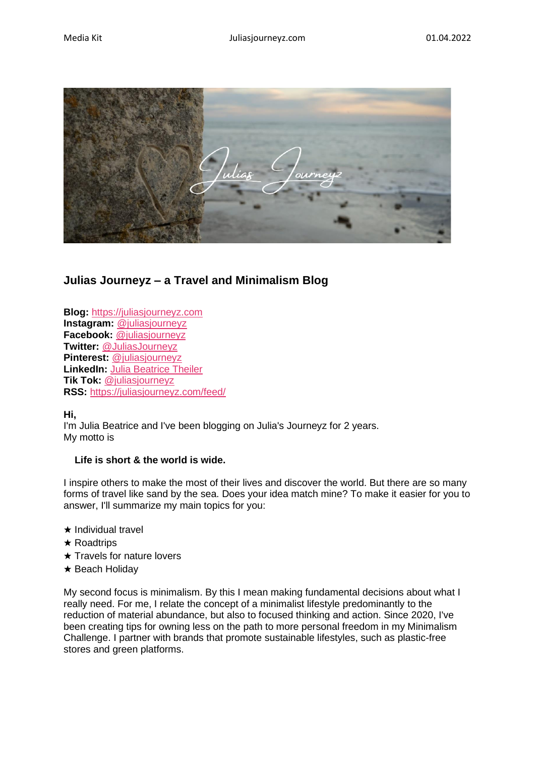

# **Julias Journeyz – a Travel and Minimalism Blog**

**Blog:** https://juliasjourneyz.com **Instagram:** [@juliasjourneyz](https://www.instagram.com/juliasjourneyz/) **Facebook:** [@juliasjourneyz](https://www.facebook.com/juliasjourneyz/) **Twitter:** [@JuliasJourneyz](https://twitter.com/juliasjourneyz/) **Pinterest:** [@juliasjourneyz](https://www.pinterest.de/juliasjourneyz/) **LinkedIn:** [Julia Beatrice Theiler](https://de.linkedin.com/in/juliasjourneyz) **Tik Tok:** [@juliasjourneyz](https://www.tiktok.com/@juliasjourneyz?) **RSS:** <https://juliasjourneyz.com/feed/>

**Hi,**

I'm Julia Beatrice and I've been blogging on Julia's Journeyz for 2 years. My motto is

## **Life is short & the world is wide.**

I inspire others to make the most of their lives and discover the world. But there are so many forms of travel like sand by the sea. Does your idea match mine? To make it easier for you to answer, I'll summarize my main topics for you:

- ★ Individual travel
- ★ Roadtrips
- ★ Travels for nature lovers
- ★ Beach Holiday

My second focus is minimalism. By this I mean making fundamental decisions about what I really need. For me, I relate the concept of a minimalist lifestyle predominantly to the reduction of material abundance, but also to focused thinking and action. Since 2020, I've been creating tips for owning less on the path to more personal freedom in my Minimalism Challenge. I partner with brands that promote sustainable lifestyles, such as plastic-free stores and green platforms.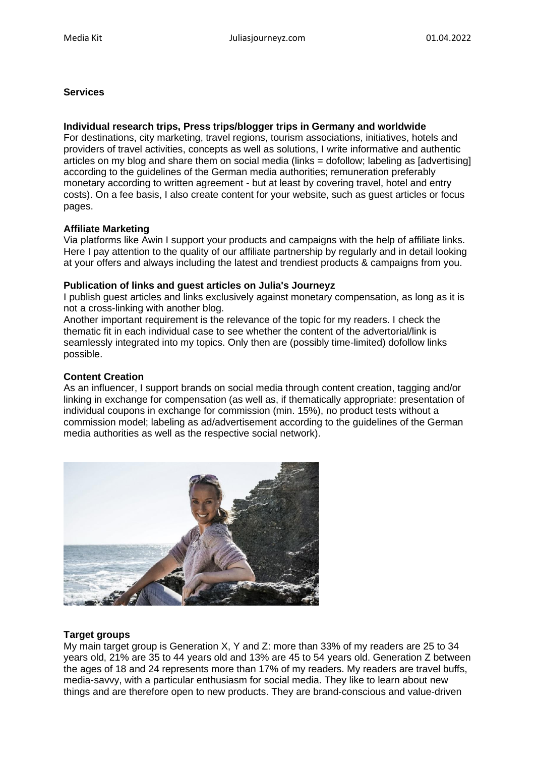### **Services**

### **Individual research trips, Press trips/blogger trips in Germany and worldwide**

For destinations, city marketing, travel regions, tourism associations, initiatives, hotels and providers of travel activities, concepts as well as solutions, I write informative and authentic articles on my blog and share them on social media (links = dofollow; labeling as [advertising] according to the guidelines of the German media authorities; remuneration preferably monetary according to written agreement - but at least by covering travel, hotel and entry costs). On a fee basis, I also create content for your website, such as guest articles or focus pages.

#### **Affiliate Marketing**

Via platforms like Awin I support your products and campaigns with the help of affiliate links. Here I pay attention to the quality of our affiliate partnership by regularly and in detail looking at your offers and always including the latest and trendiest products & campaigns from you.

#### **Publication of links and guest articles on Julia's Journeyz**

I publish guest articles and links exclusively against monetary compensation, as long as it is not a cross-linking with another blog.

Another important requirement is the relevance of the topic for my readers. I check the thematic fit in each individual case to see whether the content of the advertorial/link is seamlessly integrated into my topics. Only then are (possibly time-limited) dofollow links possible.

#### **Content Creation**

As an influencer, I support brands on social media through content creation, tagging and/or linking in exchange for compensation (as well as, if thematically appropriate: presentation of individual coupons in exchange for commission (min. 15%), no product tests without a commission model; labeling as ad/advertisement according to the guidelines of the German media authorities as well as the respective social network).



## **Target groups**

My main target group is Generation X, Y and Z: more than 33% of my readers are 25 to 34 years old, 21% are 35 to 44 years old and 13% are 45 to 54 years old. Generation Z between the ages of 18 and 24 represents more than 17% of my readers. My readers are travel buffs, media-savvy, with a particular enthusiasm for social media. They like to learn about new things and are therefore open to new products. They are brand-conscious and value-driven